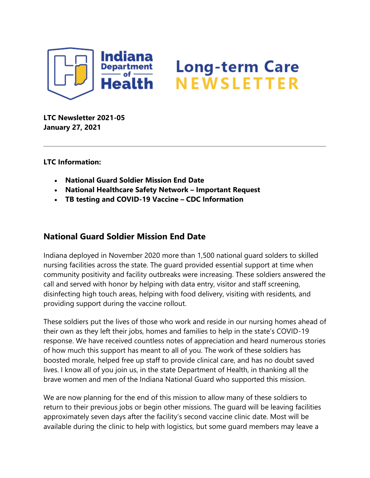

# **Long-term Care** NEWSLETTER

**LTC Newsletter 2021-05 January 27, 2021**

**LTC Information:**

- **National Guard Soldier Mission End Date**
- **National Healthcare Safety Network – Important Request**
- **TB testing and COVID-19 Vaccine – CDC Information**

## **National Guard Soldier Mission End Date**

Indiana deployed in November 2020 more than 1,500 national guard solders to skilled nursing facilities across the state. The guard provided essential support at time when community positivity and facility outbreaks were increasing. These soldiers answered the call and served with honor by helping with data entry, visitor and staff screening, disinfecting high touch areas, helping with food delivery, visiting with residents, and providing support during the vaccine rollout.

These soldiers put the lives of those who work and reside in our nursing homes ahead of their own as they left their jobs, homes and families to help in the state's COVID-19 response. We have received countless notes of appreciation and heard numerous stories of how much this support has meant to all of you. The work of these soldiers has boosted morale, helped free up staff to provide clinical care, and has no doubt saved lives. I know all of you join us, in the state Department of Health, in thanking all the brave women and men of the Indiana National Guard who supported this mission.

We are now planning for the end of this mission to allow many of these soldiers to return to their previous jobs or begin other missions. The guard will be leaving facilities approximately seven days after the facility's second vaccine clinic date. Most will be available during the clinic to help with logistics, but some guard members may leave a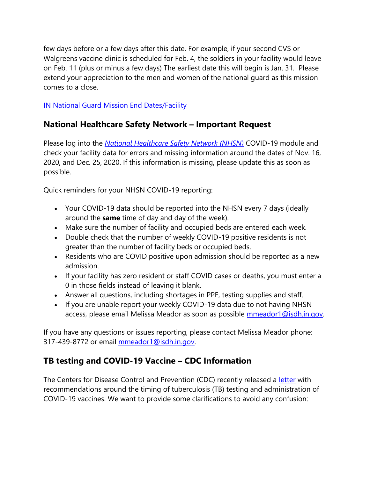few days before or a few days after this date. For example, if your second CVS or Walgreens vaccine clinic is scheduled for Feb. 4, the soldiers in your facility would leave on Feb. 11 (plus or minus a few days) The earliest date this will begin is Jan. 31. Please extend your appreciation to the men and women of the national guard as this mission comes to a close.

### [IN National Guard Mission End Dates/Facility](https://content.govdelivery.com/attachments/INSDH/2021/01/26/file_attachments/1672887/IN%20NGGuardenddates-Spreadsheet.xlsx)

## **National Healthcare Safety Network – Important Request**

Please log into the *[National Healthcare Safety Network \(NHSN\)](https://auth.cdc.gov/siteminderagent/forms/login.fcc?TYPE=33554433&REALMOID=06-2e4e428f-8768-4f65-a66d-911e49413d9e&GUID=&SMAUTHREASON=0&METHOD=GET&SMAGENTNAME=-SM-VfBllSkkIKR6GkMEZgI2o6e2zk%2fxh2fc%2fe5E0N%2fN98H5LsZWkDhX%2fH618YU%2bV1pFG6Dqc8o%2buj7a7BOjbw3l3DbOwJLzWlX7IAOrlseiUBdD9DB45IS4xFtcl%2fRbqrug&TARGET=-SM-https%3a%2f%2fsams%2ecdc%2egov%2f)* COVID-19 module and check your facility data for errors and missing information around the dates of Nov. 16, 2020, and Dec. 25, 2020. If this information is missing, please update this as soon as possible.

Quick reminders for your NHSN COVID-19 reporting:

- Your COVID-19 data should be reported into the NHSN every 7 days (ideally around the **same** time of day and day of the week).
- Make sure the number of facility and occupied beds are entered each week.
- Double check that the number of weekly COVID-19 positive residents is not greater than the number of facility beds or occupied beds.
- Residents who are COVID positive upon admission should be reported as a new admission.
- If your facility has zero resident or staff COVID cases or deaths, you must enter a 0 in those fields instead of leaving it blank.
- Answer all questions, including shortages in PPE, testing supplies and staff.
- If you are unable report your weekly COVID-19 data due to not having NHSN access, please email Melissa Meador as soon as possible [mmeador1@isdh.in.gov.](mailto:mmeador1@isdh.in.gov)

If you have any questions or issues reporting, please contact Melissa Meador phone: 317-439-8772 or email [mmeador1@isdh.in.gov.](mailto:mmeador1@isdh.in.gov)

## **TB testing and COVID-19 Vaccine – CDC Information**

The Centers for Disease Control and Prevention (CDC) recently released a [letter](https://www.cdc.gov/tb/publications/letters/covid19-mrna.html#:~:text=For%20healthcare%20personnel%20or%20patients,to%20COVID%2D19%20mRNA%20vaccination.) with recommendations around the timing of tuberculosis (TB) testing and administration of COVID-19 vaccines. We want to provide some clarifications to avoid any confusion: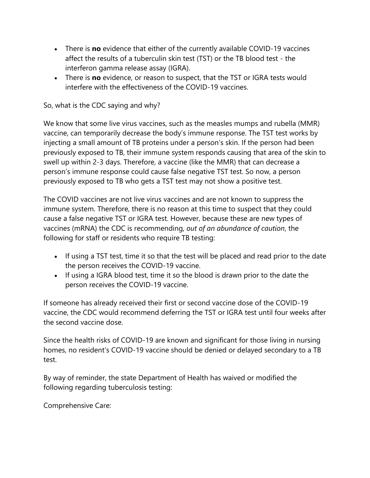- There is **no** evidence that either of the currently available COVID-19 vaccines affect the results of a tuberculin skin test (TST) or the TB blood test - the interferon gamma release assay (IGRA).
- There is **no** evidence, or reason to suspect, that the TST or IGRA tests would interfere with the effectiveness of the COVID-19 vaccines.

### So, what is the CDC saying and why?

We know that some live virus vaccines, such as the measles mumps and rubella (MMR) vaccine, can temporarily decrease the body's immune response. The TST test works by injecting a small amount of TB proteins under a person's skin. If the person had been previously exposed to TB, their immune system responds causing that area of the skin to swell up within 2-3 days. Therefore, a vaccine (like the MMR) that can decrease a person's immune response could cause false negative TST test. So now, a person previously exposed to TB who gets a TST test may not show a positive test.

The COVID vaccines are not live virus vaccines and are not known to suppress the immune system. Therefore, there is no reason at this time to suspect that they could cause a false negative TST or IGRA test. However, because these are new types of vaccines (mRNA) the CDC is recommending, *out of an abundance of caution*, the following for staff or residents who require TB testing:

- If using a TST test, time it so that the test will be placed and read prior to the date the person receives the COVID-19 vaccine.
- If using a IGRA blood test, time it so the blood is drawn prior to the date the person receives the COVID-19 vaccine.

If someone has already received their first or second vaccine dose of the COVID-19 vaccine, the CDC would recommend deferring the TST or IGRA test until four weeks after the second vaccine dose.

Since the health risks of COVID-19 are known and significant for those living in nursing homes, no resident's COVID-19 vaccine should be denied or delayed secondary to a TB test.

By way of reminder, the state Department of Health has waived or modified the following regarding tuberculosis testing:

Comprehensive Care: